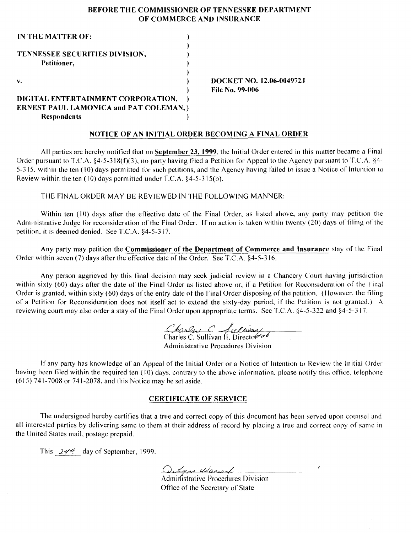## BEFORE THE COMMISSIONER OF TENNESSEE DEPARTMENT OF COMMERCE AND INSURANCE

| IN THE MATTER OF:                             |                           |
|-----------------------------------------------|---------------------------|
|                                               |                           |
| TENNESSEE SECURITIES DIVISION,                |                           |
| Petitioner,                                   |                           |
|                                               |                           |
| v.                                            | DOCKET NO. 12.06-004972.J |
|                                               | <b>File No. 99-006</b>    |
| DIGITAL ENTERTAINMENT CORPORATION,            |                           |
| <b>ERNEST PAUL LAMONICA and PAT COLEMAN,)</b> |                           |
| <b>Respondents</b>                            |                           |

### NOTICE OF AN INITIAL ORDER BECOMING A FINAL ORDER

All parties arc hereby notified that on September 23, 1999, the Initial Order entered in this matter became a Final Order pursuant to T.C.A.  $\S 4$ -5-318(f)(3), no party having filed a Petition for Appeal to the Agency pursuant to T.C.A.  $\S 4$ -5-315, within the ten (10) days permitted for such petitions, and the Agency having failed to issue a Notice of Intention to Review within the ten  $(10)$  days permitted under T.C.A.  $§4-5-315(b)$ .

THE FINAL ORDER MAY BE REVIEWED IN THE FOLLOWING MANNER:

Within ten (10) days after the effective date of the Final Order, as listed above, any party may petition the Administrative Judge for reconsideration of the Final Order. If no action is taken within twenty (20) days of filing of the petition, it is deemed denied. See T.C.A.  $§4-5-317$ .

Any party may petition the Commissioner of the Department of Commerce and Insurance stay of the Final Order within seven (7) days after the effective date of the Order.' See T.C.A. §4-5-316.

Any person aggrieved by this final decision may seek judicial review in a Chancery Court having jurisdiction within sixty (60) days after the date of the Final Order as listed above or, if a Petition for Reconsideration of the Final Order is granted, within sixty (60) days of the entry date of the Final Order disposing of the petition. (However, the filing of a Petition for Reconsideration docs not itself act to extend the sixty-day period, if the Petition is not granted.) A reviewing court may also order a stay of the Final Order upon appropriate terms. See T.C.A.  $$4-5-322$  and  $$4-5-317$ .

Charles C. Sullivan

Administrative Procedures Division

If any party has knowledge of an Appeal of the Initial Order or a Notice of Intention to Review the Initial Order having been filed within the required ten (10) days, contrary to the above information, please notify this office, telephone  $(615)$  741-7008 or 741-2078, and this Notice may be set aside.

#### CERTIFICATE OF SERVICE

The undersigned hereby certifies that a true and correct copy of this document has been served upon counsel and all interested parties by delivering same to them at their address of record by placing a true and correct copy of same in the United States mail. postage prepaid.

This  $244$  day of September, 1999.

<u>Outras 4 dance</u><br>Administrative Procedures Division

Office of the Secretary of State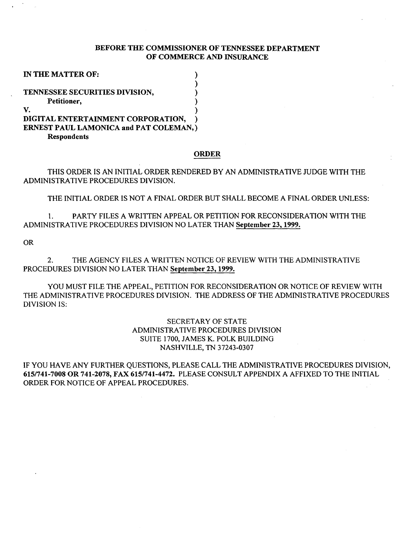## BEFORE THE COMMISSIONER OF TENNESSEE DEPARTMENT OF COMMERCE AND INSURANCE

| IN THE MATTER OF:                      |  |
|----------------------------------------|--|
|                                        |  |
| TENNESSEE SECURITIES DIVISION,         |  |
| Petitioner,                            |  |
| V.                                     |  |
| DIGITAL ENTERTAINMENT CORPORATION,     |  |
| ERNEST PAUL LAMONICA and PAT COLEMAN,) |  |
| <b>Respondents</b>                     |  |

#### ORDER

THIS ORDER IS AN INITIAL ORDER RENDERED BY AN ADMINISTRATIVE JUDGE WITH THE ADMINISTRATIVE PROCEDURES DIVISION.

THE INITIAL ORDER IS NOT A FINAL ORDER BUT SHALL BECOME A FINAL ORDER UNLESS:

1. PARTY FILES A WRITTEN APPEAL OR PETITION FOR RECONSIDERATION WITH THE ADMINISTRATIVE PROCEDURES DIVISION NO LATER THAN September 23, 1999.

OR

2. THE AGENCY FILES A WRITTEN NOTICE OF REVIEW WITH THE ADMINISTRATIVE PROCEDURES DIVISION NO LATER THAN September 23, 1999.

YOU MUST FILE THE APPEAL, PETITION FOR RECONSIDERATION OR NOTICE OF REVIEW WITH THE ADMINISTRATIVE PROCEDURES DIVISION. THE ADDRESS OF THE ADMINISTRATIVE PROCEDURES DIVISION IS:

> SECRETARY OF STATE ADMINISTRATIVE PROCEDURES DIVISION SUITE 1700, JAMES K. POLK BUILDING NASHVILLE, TN 37243-0307

IF YOU HAVE ANY FURTHER QUESTIONS, PLEASE CALL THE ADMINISTRATIVE PROCEDURES DIVISION, 6151741-7008 OR 741-2078, FAX 6151741-4472. PLEASE CONSULT APPENDIX A AFFIXED TO THE INITIAL ORDER FOR NOTICE OF APPEAL PROCEDURES.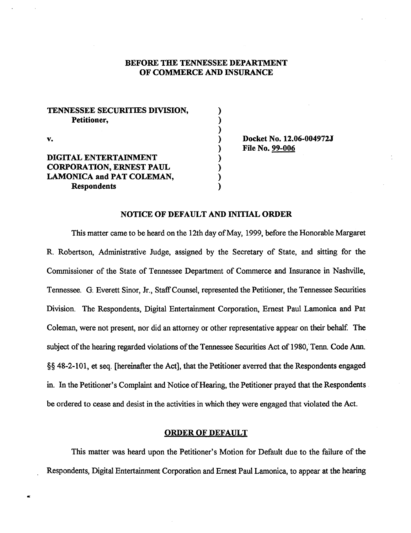# BEFORE THE TENNESSEE DEPARTMENT OF COMMERCE AND INSURANCE

) ) ) ) ) ) ) ) )

| TENNESSEE SECURITIES DIVISION.<br>Petitioner, |  |
|-----------------------------------------------|--|
| V.                                            |  |
| DIGITAL ENTERTAINMENT                         |  |
| <b>CORPORATION, ERNEST PAUL</b>               |  |
| LAMONICA and PAT COLEMAN,                     |  |
| <b>Respondents</b>                            |  |

Docket No. 12.06-004972J File No. 99-006

## NOTICE OF DEFAULT AND INITIAL ORDER

This matter came to be heard on the 12th day of May, 1999, before the Honorable Margaret R. Robertson, Administrative Judge, assigned by the Secretary of State, and sitting for the Commissioner of the State of Tennessee Department of Commerce and Insurance in Nashville, Tennessee. G. Everett Sinor, Jr., Staff Counsel, represented the Petitioner, the Tennessee Securities Division. The Respondents, Digital Entertainment Corporation, Ernest Paul Lamonica and Pat Coleman, were not present, nor did an attorney or other representative appear on their behalf. The subject of the hearing regarded violations of the Tennessee Securities Act of 1980, Tenn. Code Ann. §§ 48-2-101, et seq. [hereinafter the Act], that the Petitioner averred that the Respondents engaged in. In the Petitioner's Complaint and Notice of Hearing, the Petitioner prayed that the Respondents. be ordered to cease and desist in the activities in which they were engaged that violated the Act.

## ORDER OF DEFAULT

This matter was heard upon the Petitioner's Motion for Default due to the failure of the Respondents, Digital Entertainment Corporation and Ernest Paul Lamonica, to appear at the hearing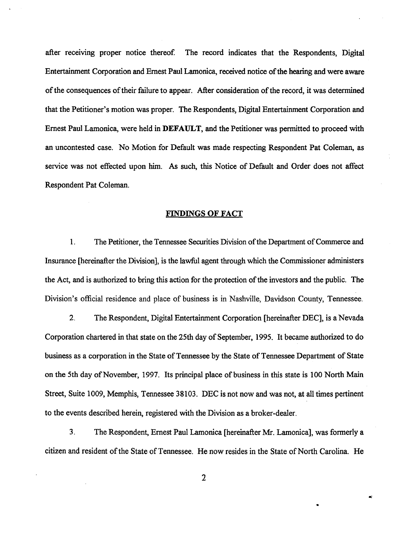after receiving proper notice thereof. The record indicates that the Respondents, Digital Entertainment Corporation and Ernest Paul Lamonica, received notice of the hearing and were aware of the consequences of their failure to appear. After consideration of the record, it was determined that the Petitioner's motion was proper. The Respondents, Digital Entertainment Corporation and Ernest Paul Lamonica, were held in DEFAULT, and the Petitioner was permitted to proceed with an uncontested case. No Motion for Default was made respecting Respondent Pat Coleman, as service was not effected upon him. As such, this Notice of Default and Order does not affect Respondent Pat Coleman.

## FINDINGS OF FACT

1. The Petitioner, the Tennessee Securities Division of the Department of Commerce and Insurance [hereinafter the Division], is the lawful agent through which the Commissioner administers the Act, and is authorized to bring this action for the protection of the investors and the public. The Division's official residence and place of business is in Nashville, Davidson County, Tennessee.

2. The Respondent, Digital Entertainment Corporation [hereinafter DEC], is a Nevada Corporation chartered in that state on the 25th day of September, 1995. It became authorized to do business as a corporation in the State of Tennessee by the State of Tennessee Department of State on the 5th day of November, 1997. Its principal place of business in this state is 100 North Main Street, Suite 1009, Memphis, Tennessee 38103. DEC is not now and was not, at all times pertinent to the events described herein, registered with the Division as a broker-dealer.

3. The Respondent, Ernest Paul Lamonica [hereinafter Mr. Lamonica], was formerly a citizen and resident of the State of Tennessee. He now resides in the State of North Carolina. He

 $\tilde{\mathbf{g}}$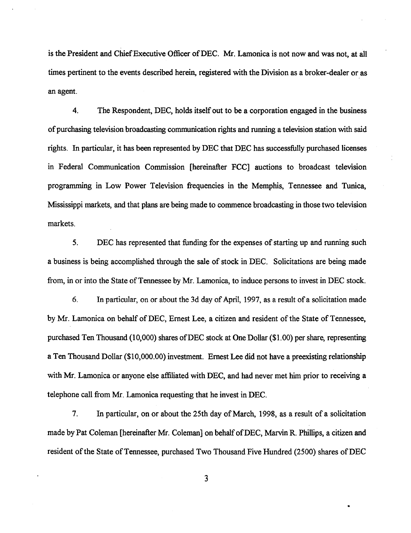is the President and Chief Executive Officer of DEC. Mr. Lamonica is not now and was not, at all times pertinent to the events described herein, registered with the Division as a broker-dealer or as an agent.

4. The Respondent, DEC, holds itself out to be a corporation engaged in the business of purchasing television broadcasting communication rights and running a television station with said rights. In particular, it has been represented by DEC that DEC has successfully purchased licenses in Federal Communication Commission [hereinafter FCC] auctions to broadcast television programming in Low Power Television frequencies in the Memphis, Tennessee and Tunica, Mississippi markets, and that plans are being made to commence broadcasting in those two television markets.

5. DEC has represented that funding for the expenses of starting up and running such a business is being accomplished through the sale of stock in DEC. Solicitations are being made from, in or into the State of Tennessee by Mr. Lamonica, to induce persons to invest in DEC stock.

6. In particular, on or about the 3d day of April, 1997, as a result of a solicitation made by Mr. Lamonica on behalf of DEC, Ernest Lee, a citizen and resident of the State of Tennessee, purchased Ten Thousand (10,000) shares ofDEC stock at One Dollar (\$1.00) per share, representing a Ten Thousand Dollar (\$10,000.00) investment. Ernest Lee did not have a preexisting relationship with Mr. Lamonica or anyone else affiliated with DEC, and had never met him prior to receiving a telephone call from Mr. Lamonica requesting that he invest in DEC.

7. In particular, on or about the 25th day of March, 1998, as a result of a solicitation made by Pat Coleman [hereinafter Mr. Coleman] on behalf of DEC, Marvin R. Phillips, a citizen and resident of the State of Tennessee, purchased Two Thousand Five Hundred (2500) shares of DEC

 $\blacksquare$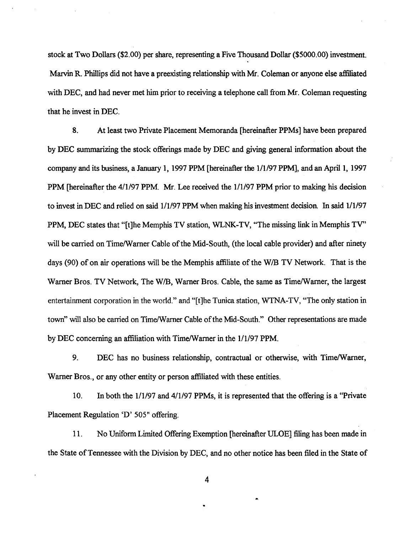stock at Two Dollars (\$2.00) per share, representing a Five Thousand Dollar (\$5000.00) investment. Marvin R. Phillips did not have a preexisting relationship with Mr. Coleman or anyone else affiliated with DEC, and had never met him prior to receiving a telephone call from Mr. Coleman requesting that he invest in DEC.

8. At least two Private Placement Memoranda [hereinafter PPMs] have been prepared by DEC summarizing the stock offerings made by DEC and giving general information about the company and its business, a January I, 1997 PPM [hereinafter the 1/1/97 PPM], and an April I, 1997 PPM [hereinafter the 4/1/97 PPM. Mr. Lee received the 1/1/97 PPM prior to making his decision to invest in DEC and relied on said 1/1/97 PPM when making his investment decision. In said 1/1/97 PPM, DEC states that "[t]he Memphis TV station, WLNK-TV, "The missing link in Memphis TV" will be carried on Time/Warner Cable of the Mid-South, (the local cable provider) and after ninety days (90) of on air operations will be the Memphis affiliate of the W/B TV Network. That is the Warner Bros. TV Network, The W/B, Warner Bros. Cable, the same as Time/Warner, the largest entertainment corporation in the world." and "[t]he Tunica station, WTNA-TV, "The only station in town" will also be carried on Time/Warner Cable of the Mid-South." Other representations are made by DEC concerning an affiliation with Time/Warner in the 1/1/97 PPM.

9. DEC has no business relationship, contractual or otherwise, with Time/Warner, Warner Bros., or any other entity or person affiliated with these entities.

10. In both the 1/1/97 and 4/1/97 PPMs, it is represented that the offering is a "Private Placement Regulation 'D' 505" offering.

11. No Uniform Limited Offering Exemption [hereinafter ULOE] filing has been made in the State of Tennessee with the Division by DEC, and no other notice has been filed in the State of

 $\tilde{\phantom{a}}$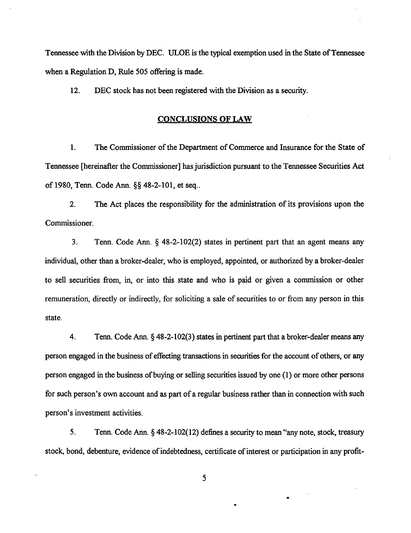Tennessee with the Division by DEC. ULOE is the typical exemption used in the State of Tennessee when a Regulation D, Rule 505 offering is made.

12. DEC stock has not been registered with the Division as a security.

## CONCLUSIONS OF LAW

1. The Commissioner of the Department of Commerce and Insurance for the State of Tennessee [hereinafter the Commissioner] has jurisdiction pursuant to the Tennessee Securities Act of 1980, Tenn. Code Ann. §§ 48-2-101, et seq ..

2. The Act places the responsibility for the administration of its provisions upon the Commissioner.

3. Tenn. Code Ann.  $\S$  48-2-102(2) states in pertinent part that an agent means any individual, other than a broker-dealer, who is employed, appointed, or authorized by a broker-dealer to sell securities from, in, or into this state and who is paid or given a commission or other remuneration, directly or indirectly, for soliciting a sale of securities to or from any person in this state.

4. Tenn. Code Ann.§ 48-2-102(3) states in pertinent part that a broker-dealer means any person engaged in the business of effecting transactions in securities for the account of others, or any person engaged in the business of buying or selling securities issued by one (I) or more other persons for such person's own account and as part of a regular business rather than in connection with such person's investment activities.

5. Tenn. Code Ann. § 48-2-102(12) defines a security to mean "any note, stock, treaswy stock, bond, debenture, evidence of indebtedness, certificate of interest or participation in any profit-

5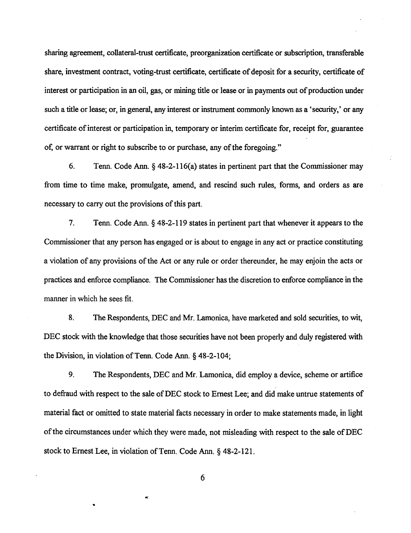sharing agreement, collateral-trust certificate, preorganization certificate or subscription, transferable share, investment contract, voting-trust certificate, certificate of deposit for a security, certificate of interest or participation in an oil, gas, or mining title or lease or in payments out of production under such a title or lease; or, in general, any interest or instrument commonly known as a 'security,' or any certificate of interest or participation in, temporary or interim certificate for, receipt for, guarantee of, or warrant or right to subscribe to or purchase, any of the foregoing."

6. Tenn. Code Ann. § 48-2-116{a) states in pertinent part that the Commissioner may from time to time make, promulgate, amend, and rescind such rules, forms, and orders as are necessary to carry out the provisions of this part.

7. Tenn. Code Ann. § 48-2-119 states in pertinent part that whenever it appears to the Commissioner that any person has engaged or is about to engage in any act or practice constituting a violation of any provisions of the Act or any rule or order thereunder, he may enjoin the acts or practices and enforce compliance. The Commissioner has the discretion to enforce compliance in the manner in which he sees fit.

8. The Respondents, DEC and Mr. Lamonica, have marketed and sold securities, to wit, DEC stock with the knowledge that those securities have not been properly and duly registered with the Division, in violation of Tenn. Code Ann. § 48-2-104;

9. The Respondents, DEC and Mr. Lamonica, did employ a device, scheme or artifice to defraud with respect to the sale of DEC stock to Ernest Lee; and did make untrue statements of material fact or omitted to state material facts necessary in order to make statements made, in light of the circumstances under which they were made, not misleading with respect to the sale of DEC stock to Ernest Lee, in violation of Tenn. Code Ann. § 48-2-121.

6

 $\ddot{\phantom{a}}$